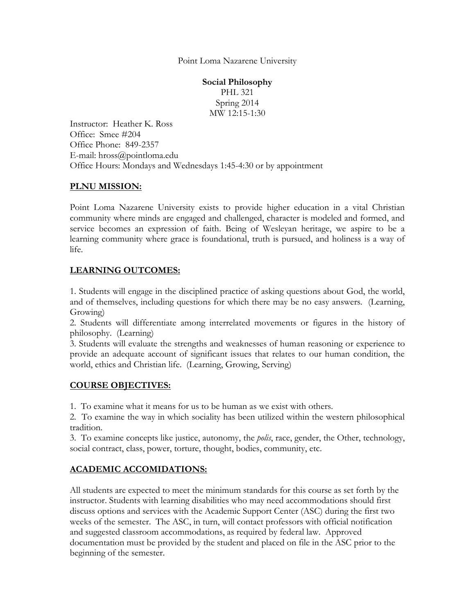Point Loma Nazarene University

**Social Philosophy** PHL 321 Spring 2014 MW 12:15-1:30

Instructor: Heather K. Ross Office: Smee #204 Office Phone: 849-2357 E-mail: hross@pointloma.edu Office Hours: Mondays and Wednesdays 1:45-4:30 or by appointment

#### **PLNU MISSION:**

Point Loma Nazarene University exists to provide higher education in a vital Christian community where minds are engaged and challenged, character is modeled and formed, and service becomes an expression of faith. Being of Wesleyan heritage, we aspire to be a learning community where grace is foundational, truth is pursued, and holiness is a way of life.

# **LEARNING OUTCOMES:**

1. Students will engage in the disciplined practice of asking questions about God, the world, and of themselves, including questions for which there may be no easy answers. (Learning, Growing)

2. Students will differentiate among interrelated movements or figures in the history of philosophy. (Learning)

3. Students will evaluate the strengths and weaknesses of human reasoning or experience to provide an adequate account of significant issues that relates to our human condition, the world, ethics and Christian life. (Learning, Growing, Serving)

## **COURSE OBJECTIVES:**

1. To examine what it means for us to be human as we exist with others.

2. To examine the way in which sociality has been utilized within the western philosophical tradition.

3. To examine concepts like justice, autonomy, the *polis*, race, gender, the Other, technology, social contract, class, power, torture, thought, bodies, community, etc.

# **ACADEMIC ACCOMIDATIONS:**

All students are expected to meet the minimum standards for this course as set forth by the instructor. Students with learning disabilities who may need accommodations should first discuss options and services with the Academic Support Center (ASC) during the first two weeks of the semester. The ASC, in turn, will contact professors with official notification and suggested classroom accommodations, as required by federal law. Approved documentation must be provided by the student and placed on file in the ASC prior to the beginning of the semester.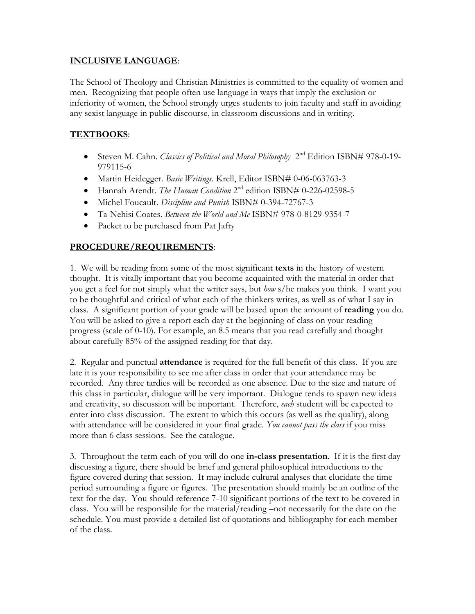### **INCLUSIVE LANGUAGE**:

The School of Theology and Christian Ministries is committed to the equality of women and men. Recognizing that people often use language in ways that imply the exclusion or inferiority of women, the School strongly urges students to join faculty and staff in avoiding any sexist language in public discourse, in classroom discussions and in writing.

## **TEXTBOOKS**:

- Steven M. Cahn. *Classics of Political and Moral Philosophy* 2 nd Edition ISBN# 978-0-19- 979115-6
- Martin Heidegger. *Basic Writings*. Krell, Editor ISBN# 0-06-063763-3
- Hannah Arendt. *The Human Condition* 2<sup>nd</sup> edition ISBN# 0-226-02598-5
- Michel Foucault. *Discipline and Punish* ISBN# 0-394-72767-3
- Ta-Nehisi Coates. *Between the World and Me* ISBN# 978-0-8129-9354-7
- Packet to be purchased from Pat Jafry

## **PROCEDURE/REQUIREMENTS**:

1. We will be reading from some of the most significant **texts** in the history of western thought. It is vitally important that you become acquainted with the material in order that you get a feel for not simply what the writer says, but *how* s/he makes you think. I want you to be thoughtful and critical of what each of the thinkers writes, as well as of what I say in class. A significant portion of your grade will be based upon the amount of **reading** you do. You will be asked to give a report each day at the beginning of class on your reading progress (scale of 0-10). For example, an 8.5 means that you read carefully and thought about carefully 85% of the assigned reading for that day.

2. Regular and punctual **attendance** is required for the full benefit of this class. If you are late it is your responsibility to see me after class in order that your attendance may be recorded. Any three tardies will be recorded as one absence. Due to the size and nature of this class in particular, dialogue will be very important. Dialogue tends to spawn new ideas and creativity, so discussion will be important. Therefore, *each* student will be expected to enter into class discussion. The extent to which this occurs (as well as the quality), along with attendance will be considered in your final grade. *You cannot pass the class* if you miss more than 6 class sessions. See the catalogue.

3. Throughout the term each of you will do one **in-class presentation**. If it is the first day discussing a figure, there should be brief and general philosophical introductions to the figure covered during that session. It may include cultural analyses that elucidate the time period surrounding a figure or figures. The presentation should mainly be an outline of the text for the day. You should reference 7-10 significant portions of the text to be covered in class. You will be responsible for the material/reading –not necessarily for the date on the schedule. You must provide a detailed list of quotations and bibliography for each member of the class.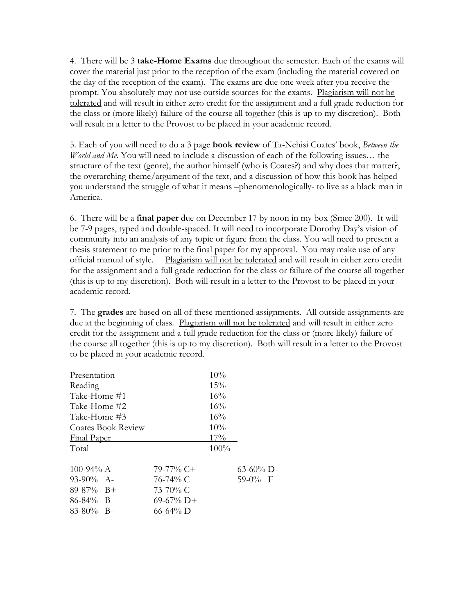4. There will be 3 **take-Home Exams** due throughout the semester. Each of the exams will cover the material just prior to the reception of the exam (including the material covered on the day of the reception of the exam). The exams are due one week after you receive the prompt. You absolutely may not use outside sources for the exams. Plagiarism will not be tolerated and will result in either zero credit for the assignment and a full grade reduction for the class or (more likely) failure of the course all together (this is up to my discretion). Both will result in a letter to the Provost to be placed in your academic record.

5. Each of you will need to do a 3 page **book review** of Ta-Nehisi Coates' book, *Between the World and Me*. You will need to include a discussion of each of the following issues… the structure of the text (genre), the author himself (who is Coates?) and why does that matter?, the overarching theme/argument of the text, and a discussion of how this book has helped you understand the struggle of what it means –phenomenologically- to live as a black man in America.

6. There will be a **final paper** due on December 17 by noon in my box (Smee 200). It will be 7-9 pages, typed and double-spaced. It will need to incorporate Dorothy Day's vision of community into an analysis of any topic or figure from the class. You will need to present a thesis statement to me prior to the final paper for my approval. You may make use of any official manual of style. Plagiarism will not be tolerated and will result in either zero credit for the assignment and a full grade reduction for the class or failure of the course all together (this is up to my discretion). Both will result in a letter to the Provost to be placed in your academic record.

7. The **grades** are based on all of these mentioned assignments. All outside assignments are due at the beginning of class. Plagiarism will not be tolerated and will result in either zero credit for the assignment and a full grade reduction for the class or (more likely) failure of the course all together (this is up to my discretion). Both will result in a letter to the Provost to be placed in your academic record.

| Presentation       |              | 10%    |              |
|--------------------|--------------|--------|--------------|
| Reading            |              | 15%    |              |
| Take-Home #1       |              | 16%    |              |
| Take-Home #2       |              | 16%    |              |
| Take-Home #3       |              | 16%    |              |
| Coates Book Review |              | $10\%$ |              |
| <b>Final Paper</b> |              | 17%    |              |
| Total              |              | 100%   |              |
| 100-94% $A$        | $79-77\%$ C+ |        | $63-60\%$ D- |
| $93-90\%$ A-       | 76-74% C     |        | $59-0\%$ F   |
| $89-87\%$ B+       | $73-70\%$ C- |        |              |
| $86 - 84\%$ B      | $69-67\%$ D+ |        |              |
| $83-80\%$ B-       | 66-64% D     |        |              |